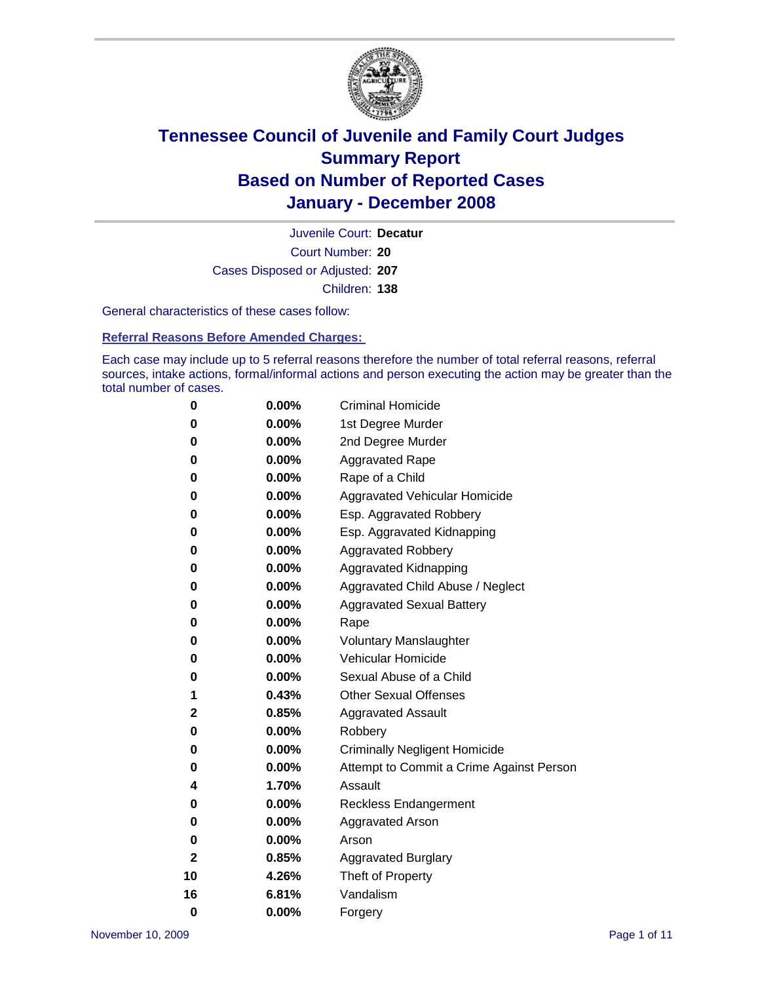

Court Number: **20** Juvenile Court: **Decatur** Cases Disposed or Adjusted: **207** Children: **138**

General characteristics of these cases follow:

**Referral Reasons Before Amended Charges:** 

Each case may include up to 5 referral reasons therefore the number of total referral reasons, referral sources, intake actions, formal/informal actions and person executing the action may be greater than the total number of cases.

| 0  | 0.00%    | <b>Criminal Homicide</b>                 |
|----|----------|------------------------------------------|
| 0  | 0.00%    | 1st Degree Murder                        |
| 0  | $0.00\%$ | 2nd Degree Murder                        |
| 0  | 0.00%    | <b>Aggravated Rape</b>                   |
| 0  | 0.00%    | Rape of a Child                          |
| 0  | 0.00%    | Aggravated Vehicular Homicide            |
| 0  | 0.00%    | Esp. Aggravated Robbery                  |
| 0  | 0.00%    | Esp. Aggravated Kidnapping               |
| 0  | 0.00%    | <b>Aggravated Robbery</b>                |
| 0  | 0.00%    | Aggravated Kidnapping                    |
| 0  | 0.00%    | Aggravated Child Abuse / Neglect         |
| 0  | $0.00\%$ | <b>Aggravated Sexual Battery</b>         |
| 0  | 0.00%    | Rape                                     |
| 0  | 0.00%    | <b>Voluntary Manslaughter</b>            |
| 0  | 0.00%    | Vehicular Homicide                       |
| 0  | 0.00%    | Sexual Abuse of a Child                  |
| 1  | 0.43%    | <b>Other Sexual Offenses</b>             |
| 2  | 0.85%    | <b>Aggravated Assault</b>                |
| 0  | $0.00\%$ | Robbery                                  |
| 0  | 0.00%    | <b>Criminally Negligent Homicide</b>     |
| 0  | 0.00%    | Attempt to Commit a Crime Against Person |
| 4  | 1.70%    | Assault                                  |
| 0  | 0.00%    | <b>Reckless Endangerment</b>             |
| 0  | $0.00\%$ | <b>Aggravated Arson</b>                  |
| 0  | 0.00%    | Arson                                    |
| 2  | 0.85%    | <b>Aggravated Burglary</b>               |
| 10 | 4.26%    | Theft of Property                        |
| 16 | 6.81%    | Vandalism                                |
| 0  | 0.00%    | Forgery                                  |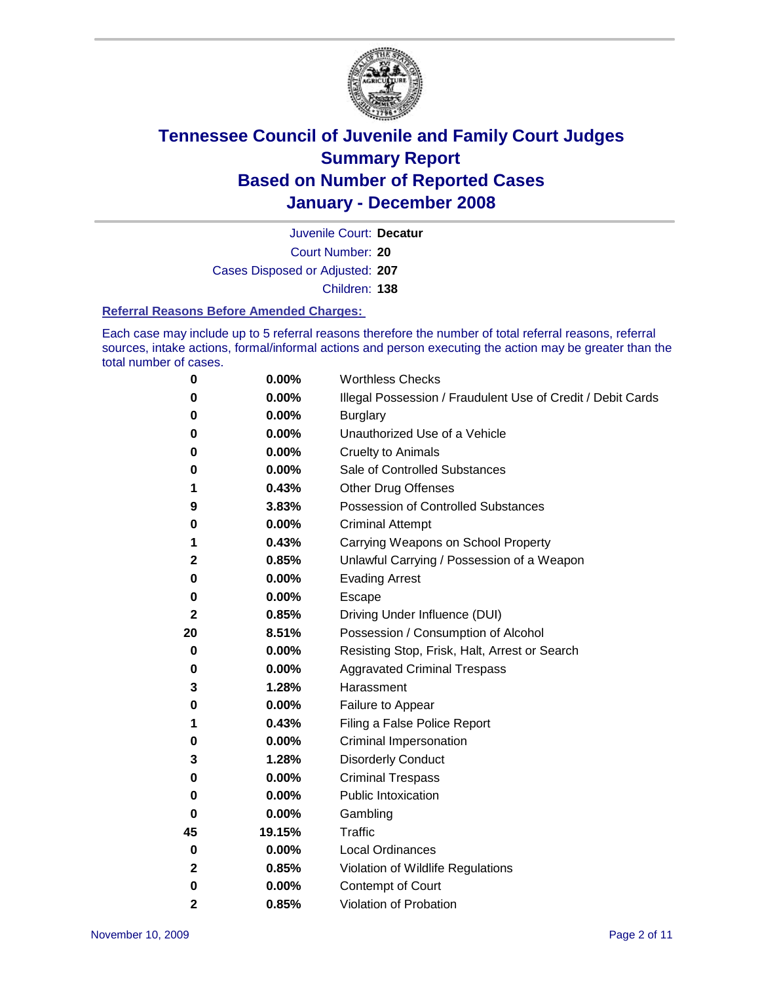

Court Number: **20** Juvenile Court: **Decatur** Cases Disposed or Adjusted: **207** Children: **138**

#### **Referral Reasons Before Amended Charges:**

Each case may include up to 5 referral reasons therefore the number of total referral reasons, referral sources, intake actions, formal/informal actions and person executing the action may be greater than the total number of cases.

| 0            | 0.00%  | <b>Worthless Checks</b>                                     |
|--------------|--------|-------------------------------------------------------------|
| 0            | 0.00%  | Illegal Possession / Fraudulent Use of Credit / Debit Cards |
| 0            | 0.00%  | <b>Burglary</b>                                             |
| 0            | 0.00%  | Unauthorized Use of a Vehicle                               |
| 0            | 0.00%  | <b>Cruelty to Animals</b>                                   |
| 0            | 0.00%  | Sale of Controlled Substances                               |
| 1            | 0.43%  | <b>Other Drug Offenses</b>                                  |
| 9            | 3.83%  | <b>Possession of Controlled Substances</b>                  |
| 0            | 0.00%  | <b>Criminal Attempt</b>                                     |
| 1            | 0.43%  | Carrying Weapons on School Property                         |
| $\mathbf 2$  | 0.85%  | Unlawful Carrying / Possession of a Weapon                  |
| 0            | 0.00%  | <b>Evading Arrest</b>                                       |
| 0            | 0.00%  | Escape                                                      |
| 2            | 0.85%  | Driving Under Influence (DUI)                               |
| 20           | 8.51%  | Possession / Consumption of Alcohol                         |
| 0            | 0.00%  | Resisting Stop, Frisk, Halt, Arrest or Search               |
| 0            | 0.00%  | <b>Aggravated Criminal Trespass</b>                         |
| 3            | 1.28%  | Harassment                                                  |
| 0            | 0.00%  | Failure to Appear                                           |
| 1            | 0.43%  | Filing a False Police Report                                |
| 0            | 0.00%  | Criminal Impersonation                                      |
| 3            | 1.28%  | <b>Disorderly Conduct</b>                                   |
| 0            | 0.00%  | <b>Criminal Trespass</b>                                    |
| 0            | 0.00%  | <b>Public Intoxication</b>                                  |
| 0            | 0.00%  | Gambling                                                    |
| 45           | 19.15% | Traffic                                                     |
| 0            | 0.00%  | <b>Local Ordinances</b>                                     |
| $\mathbf{2}$ | 0.85%  | Violation of Wildlife Regulations                           |
| 0            | 0.00%  | Contempt of Court                                           |
| $\mathbf{2}$ | 0.85%  | Violation of Probation                                      |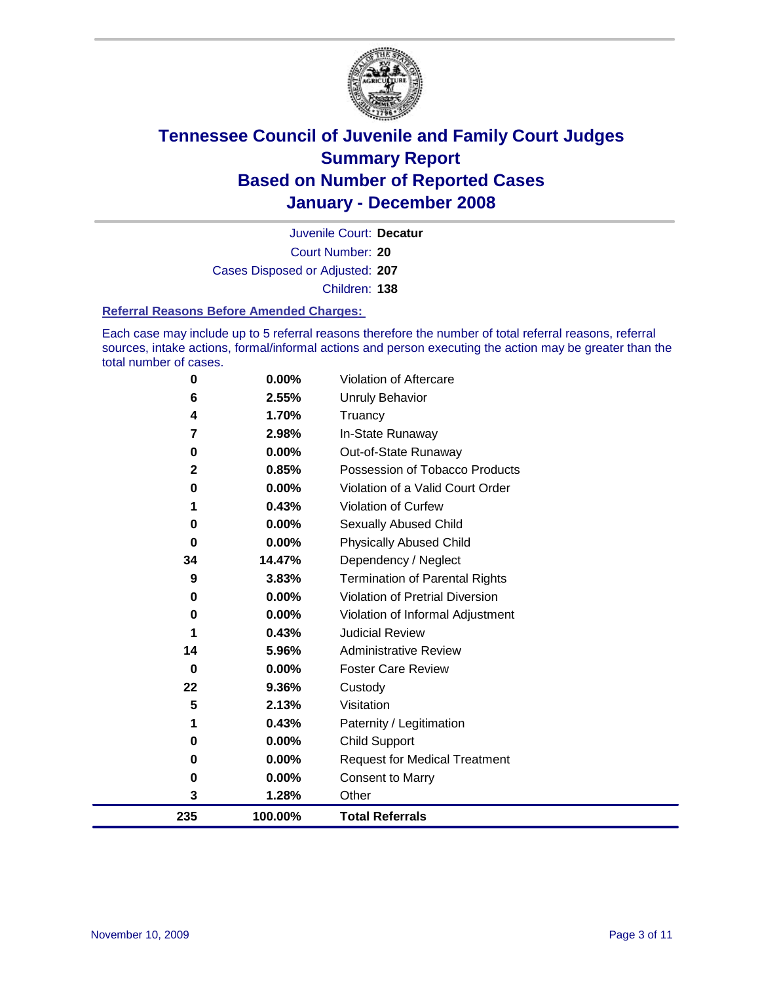

Court Number: **20** Juvenile Court: **Decatur** Cases Disposed or Adjusted: **207** Children: **138**

#### **Referral Reasons Before Amended Charges:**

Each case may include up to 5 referral reasons therefore the number of total referral reasons, referral sources, intake actions, formal/informal actions and person executing the action may be greater than the total number of cases.

| 0            | 0.00%    | Violation of Aftercare                 |
|--------------|----------|----------------------------------------|
| 6            | 2.55%    | Unruly Behavior                        |
| 4            | 1.70%    | Truancy                                |
| 7            | 2.98%    | In-State Runaway                       |
| 0            | 0.00%    | Out-of-State Runaway                   |
| $\mathbf{2}$ | 0.85%    | Possession of Tobacco Products         |
| 0            | 0.00%    | Violation of a Valid Court Order       |
|              | 0.43%    | Violation of Curfew                    |
| 0            | 0.00%    | <b>Sexually Abused Child</b>           |
| 0            | 0.00%    | <b>Physically Abused Child</b>         |
| 34           | 14.47%   | Dependency / Neglect                   |
| 9            | 3.83%    | <b>Termination of Parental Rights</b>  |
| 0            | 0.00%    | <b>Violation of Pretrial Diversion</b> |
| 0            | 0.00%    | Violation of Informal Adjustment       |
| 1            | 0.43%    | <b>Judicial Review</b>                 |
| 14           | 5.96%    | <b>Administrative Review</b>           |
| 0            | $0.00\%$ | <b>Foster Care Review</b>              |
| 22           | 9.36%    | Custody                                |
| 5            | 2.13%    | Visitation                             |
| 1            | 0.43%    | Paternity / Legitimation               |
| 0            | $0.00\%$ | <b>Child Support</b>                   |
| 0            | $0.00\%$ | <b>Request for Medical Treatment</b>   |
| 0            | 0.00%    | <b>Consent to Marry</b>                |
| 3            | 1.28%    | Other                                  |
| 235          | 100.00%  | <b>Total Referrals</b>                 |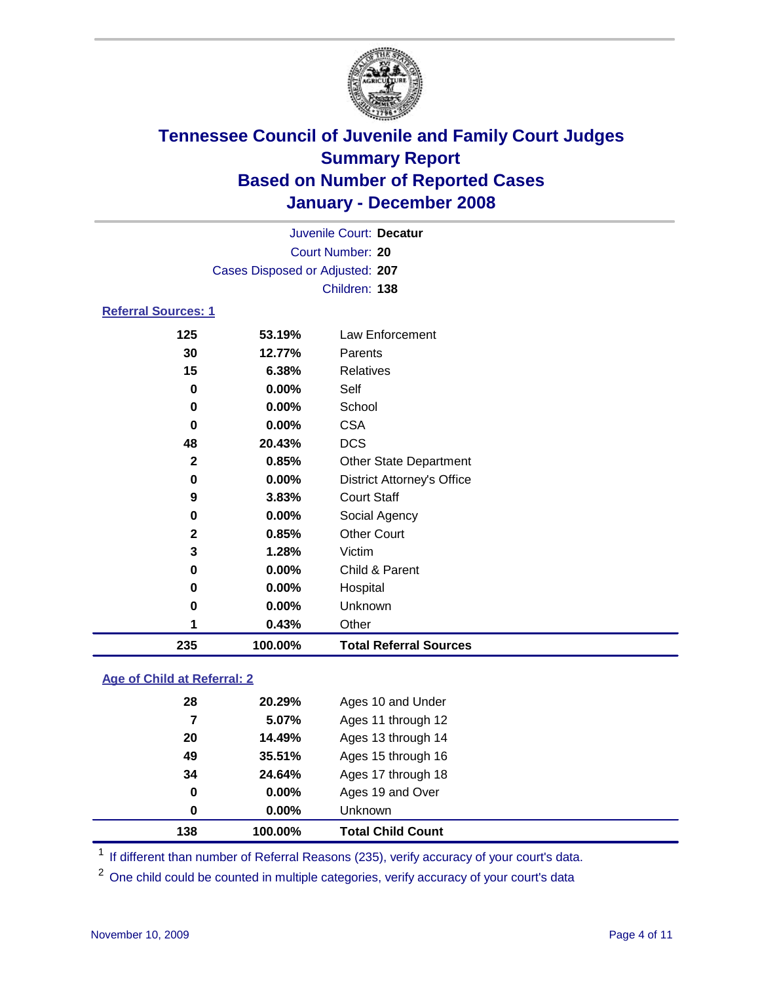

|                            |                                 | Juvenile Court: Decatur           |  |  |  |
|----------------------------|---------------------------------|-----------------------------------|--|--|--|
| Court Number: 20           |                                 |                                   |  |  |  |
|                            | Cases Disposed or Adjusted: 207 |                                   |  |  |  |
|                            |                                 | Children: 138                     |  |  |  |
| <b>Referral Sources: 1</b> |                                 |                                   |  |  |  |
| 125                        | 53.19%                          | Law Enforcement                   |  |  |  |
| 30                         | 12.77%                          | Parents                           |  |  |  |
| 15                         | 6.38%                           | Relatives                         |  |  |  |
| 0                          | $0.00\%$                        | Self                              |  |  |  |
| 0                          | $0.00\%$                        | School                            |  |  |  |
| 0                          | $0.00\%$                        | <b>CSA</b>                        |  |  |  |
| 48                         | 20.43%                          | <b>DCS</b>                        |  |  |  |
| $\mathbf{2}$               | 0.85%                           | <b>Other State Department</b>     |  |  |  |
| 0                          | $0.00\%$                        | <b>District Attorney's Office</b> |  |  |  |
| 9                          | $3.83\%$                        | <b>Court Staff</b>                |  |  |  |
| 0                          | $0.00\%$                        | Social Agency                     |  |  |  |

**0.85%** Other Court

 **0.00%** Hospital **0.00%** Unknown **0.43%** Other

**0.00%** Child & Parent

**100.00% Total Referral Sources**

### **Age of Child at Referral: 2**

| 138 | 100.00% | <b>Total Child Count</b> |
|-----|---------|--------------------------|
| 0   | 0.00%   | <b>Unknown</b>           |
| 0   | 0.00%   | Ages 19 and Over         |
| 34  | 24.64%  | Ages 17 through 18       |
| 49  | 35.51%  | Ages 15 through 16       |
| 20  | 14.49%  | Ages 13 through 14       |
| 7   | 5.07%   | Ages 11 through 12       |
| 28  | 20.29%  | Ages 10 and Under        |
|     |         |                          |

**1.28%** Victim

<sup>1</sup> If different than number of Referral Reasons (235), verify accuracy of your court's data.

<sup>2</sup> One child could be counted in multiple categories, verify accuracy of your court's data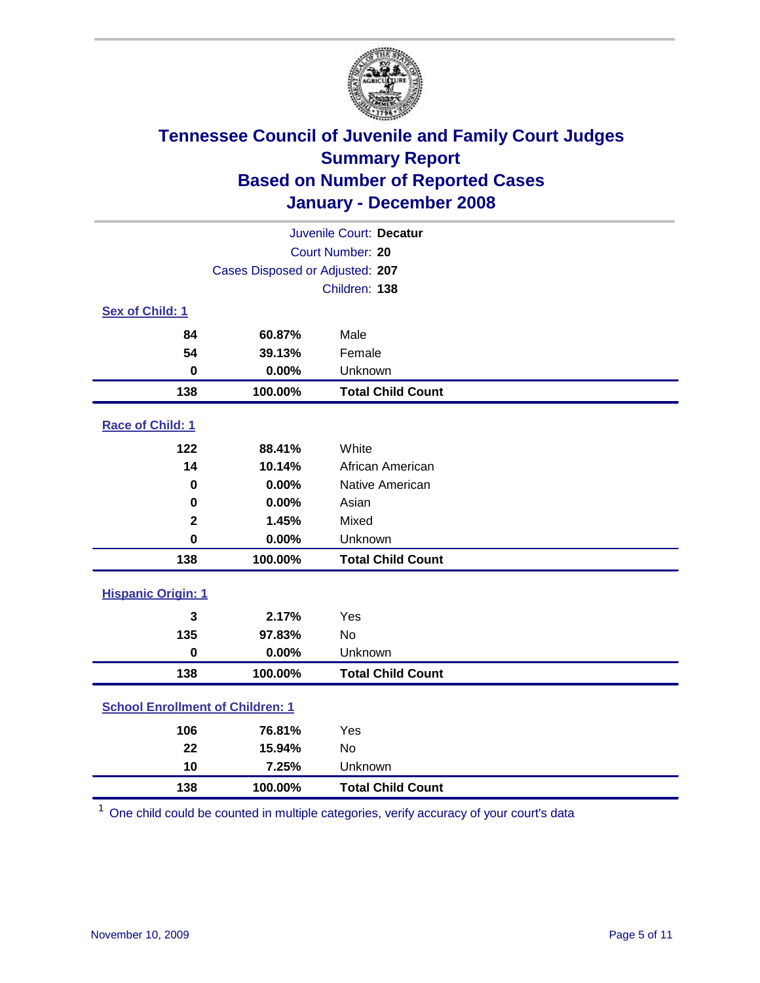

| Juvenile Court: Decatur                 |                                 |                          |  |  |
|-----------------------------------------|---------------------------------|--------------------------|--|--|
|                                         | Court Number: 20                |                          |  |  |
|                                         | Cases Disposed or Adjusted: 207 |                          |  |  |
|                                         |                                 | Children: 138            |  |  |
| Sex of Child: 1                         |                                 |                          |  |  |
| 84                                      | 60.87%                          | Male                     |  |  |
| 54                                      | 39.13%                          | Female                   |  |  |
| $\bf{0}$                                | 0.00%                           | Unknown                  |  |  |
| 138                                     | 100.00%                         | <b>Total Child Count</b> |  |  |
| <b>Race of Child: 1</b>                 |                                 |                          |  |  |
| 122                                     | 88.41%                          | White                    |  |  |
| 14                                      | 10.14%                          | African American         |  |  |
| 0                                       | 0.00%                           | Native American          |  |  |
| 0                                       | 0.00%                           | Asian                    |  |  |
| $\mathbf 2$                             | 1.45%                           | Mixed                    |  |  |
| $\mathbf 0$                             | 0.00%                           | Unknown                  |  |  |
| 138                                     | 100.00%                         | <b>Total Child Count</b> |  |  |
| <b>Hispanic Origin: 1</b>               |                                 |                          |  |  |
| 3                                       | 2.17%                           | Yes                      |  |  |
| 135                                     | 97.83%                          | <b>No</b>                |  |  |
| 0                                       | 0.00%                           | Unknown                  |  |  |
| 138                                     | 100.00%                         | <b>Total Child Count</b> |  |  |
| <b>School Enrollment of Children: 1</b> |                                 |                          |  |  |
| 106                                     | 76.81%                          | Yes                      |  |  |
| 22                                      | 15.94%                          | No                       |  |  |
| 10                                      | 7.25%                           | Unknown                  |  |  |
| 138                                     | 100.00%                         | <b>Total Child Count</b> |  |  |

One child could be counted in multiple categories, verify accuracy of your court's data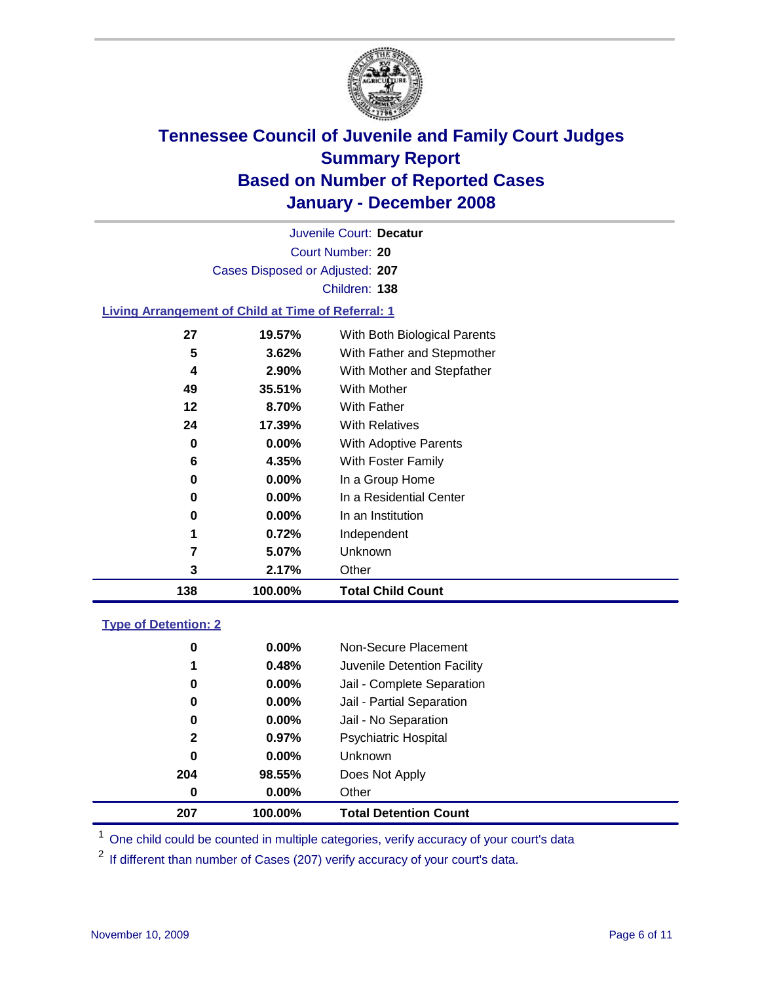

Court Number: **20** Juvenile Court: **Decatur** Cases Disposed or Adjusted: **207** Children: **138**

#### **Living Arrangement of Child at Time of Referral: 1**

| 138 | 100.00%       | <b>Total Child Count</b>     |  |
|-----|---------------|------------------------------|--|
|     | 2.17%<br>3    | Other                        |  |
|     | 7<br>5.07%    | Unknown                      |  |
|     | 1<br>0.72%    | Independent                  |  |
|     | $0.00\%$<br>0 | In an Institution            |  |
|     | $0.00\%$<br>0 | In a Residential Center      |  |
|     | 0.00%<br>0    | In a Group Home              |  |
|     | 6<br>4.35%    | With Foster Family           |  |
|     | 0.00%<br>0    | With Adoptive Parents        |  |
|     | 17.39%<br>24  | <b>With Relatives</b>        |  |
|     | 8.70%<br>12   | <b>With Father</b>           |  |
|     | 49<br>35.51%  | With Mother                  |  |
|     | 2.90%<br>4    | With Mother and Stepfather   |  |
|     | 5<br>3.62%    | With Father and Stepmother   |  |
|     | 27<br>19.57%  | With Both Biological Parents |  |
|     |               |                              |  |

#### **Type of Detention: 2**

| 207          | 100.00%  | <b>Total Detention Count</b> |  |
|--------------|----------|------------------------------|--|
| 0            | $0.00\%$ | Other                        |  |
| 204          | 98.55%   | Does Not Apply               |  |
| 0            | $0.00\%$ | <b>Unknown</b>               |  |
| $\mathbf{2}$ | 0.97%    | <b>Psychiatric Hospital</b>  |  |
| 0            | 0.00%    | Jail - No Separation         |  |
| 0            | $0.00\%$ | Jail - Partial Separation    |  |
| 0            | 0.00%    | Jail - Complete Separation   |  |
| 1            | 0.48%    | Juvenile Detention Facility  |  |
| 0            | $0.00\%$ | Non-Secure Placement         |  |
|              |          |                              |  |

<sup>1</sup> One child could be counted in multiple categories, verify accuracy of your court's data

<sup>2</sup> If different than number of Cases (207) verify accuracy of your court's data.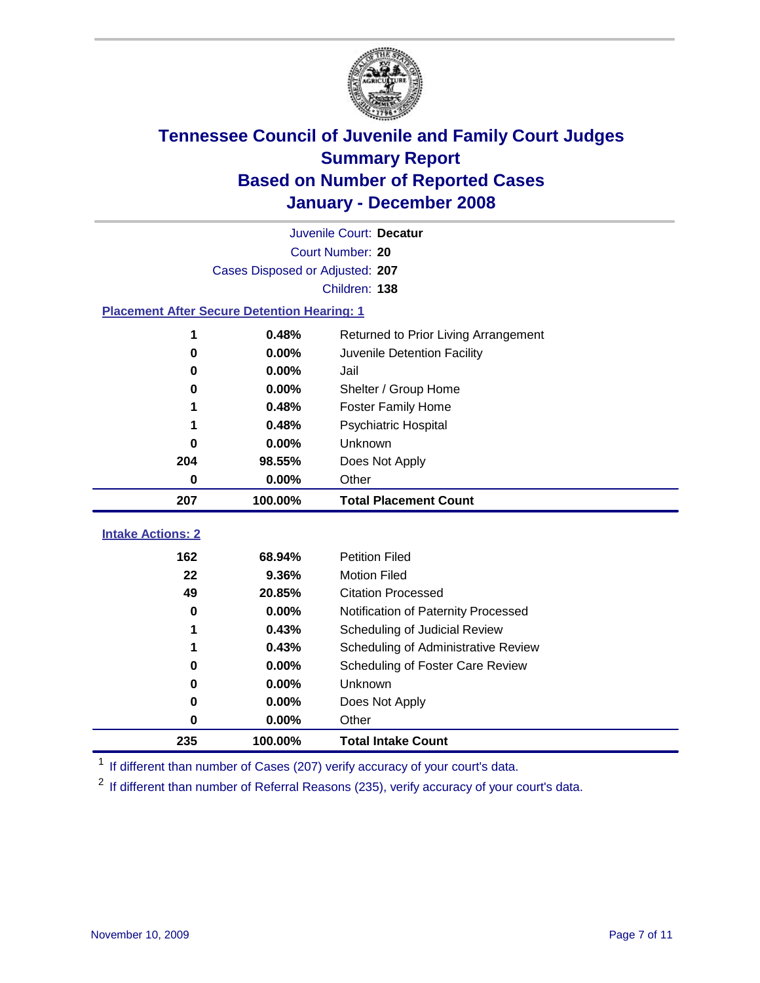

|                                                    | Juvenile Court: Decatur         |                                      |  |  |  |
|----------------------------------------------------|---------------------------------|--------------------------------------|--|--|--|
|                                                    | Court Number: 20                |                                      |  |  |  |
|                                                    | Cases Disposed or Adjusted: 207 |                                      |  |  |  |
|                                                    |                                 | Children: 138                        |  |  |  |
| <b>Placement After Secure Detention Hearing: 1</b> |                                 |                                      |  |  |  |
| 1                                                  | 0.48%                           | Returned to Prior Living Arrangement |  |  |  |
| 0                                                  | 0.00%                           | Juvenile Detention Facility          |  |  |  |
| 0                                                  | 0.00%                           | Jail                                 |  |  |  |
| 0                                                  | 0.00%                           | Shelter / Group Home                 |  |  |  |
| 1                                                  | 0.48%                           | <b>Foster Family Home</b>            |  |  |  |
|                                                    | 0.48%                           | <b>Psychiatric Hospital</b>          |  |  |  |
| O                                                  | 0.00%                           | Unknown                              |  |  |  |
| 204                                                | 98.55%                          | Does Not Apply                       |  |  |  |
| 0                                                  | 0.00%                           | Other                                |  |  |  |
| 207                                                | 100.00%                         | <b>Total Placement Count</b>         |  |  |  |
| <b>Intake Actions: 2</b>                           |                                 |                                      |  |  |  |
|                                                    |                                 |                                      |  |  |  |
| 162                                                | 68.94%                          | <b>Petition Filed</b>                |  |  |  |
| 22                                                 | 9.36%                           | <b>Motion Filed</b>                  |  |  |  |
| 49                                                 | 20.85%                          | <b>Citation Processed</b>            |  |  |  |
| 0                                                  | 0.00%                           | Notification of Paternity Processed  |  |  |  |
| 1                                                  | 0.43%                           | Scheduling of Judicial Review        |  |  |  |
| 1                                                  | 0.43%                           | Scheduling of Administrative Review  |  |  |  |
| 0                                                  | 0.00%                           | Scheduling of Foster Care Review     |  |  |  |
| 0                                                  | 0.00%                           | Unknown                              |  |  |  |
| 0                                                  | 0.00%                           | Does Not Apply                       |  |  |  |
| 0                                                  | 0.00%                           | Other                                |  |  |  |
| 235                                                | 100.00%                         | <b>Total Intake Count</b>            |  |  |  |

<sup>1</sup> If different than number of Cases (207) verify accuracy of your court's data.

<sup>2</sup> If different than number of Referral Reasons (235), verify accuracy of your court's data.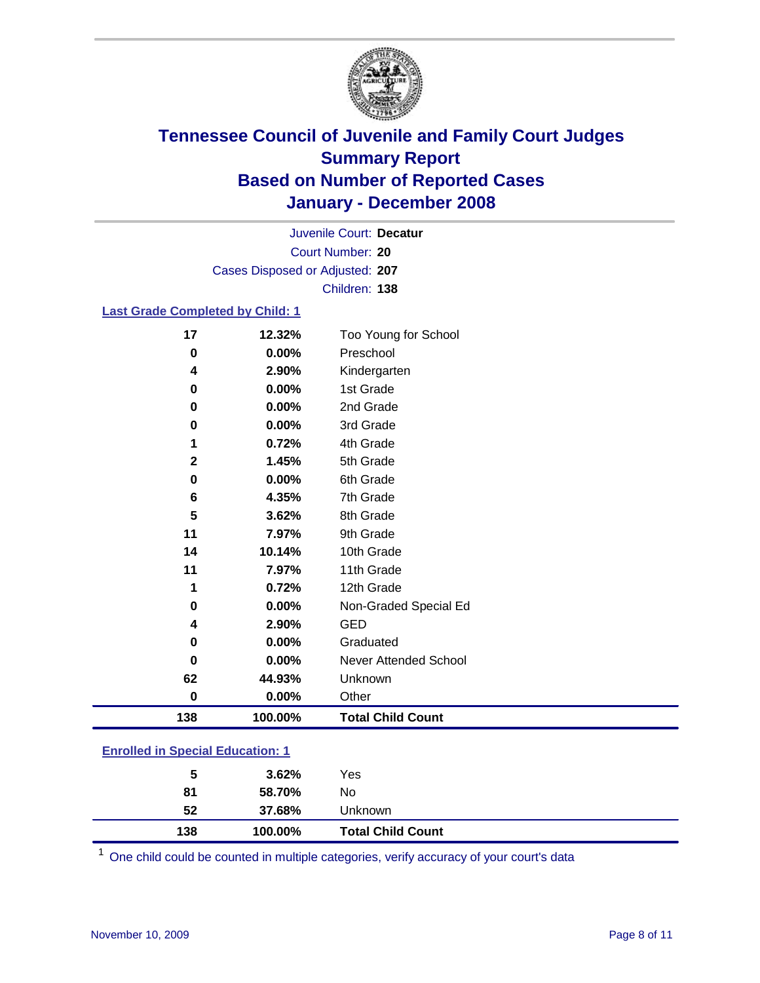

Court Number: **20** Juvenile Court: **Decatur** Cases Disposed or Adjusted: **207** Children: **138**

#### **Last Grade Completed by Child: 1**

| 17          | 12.32%  | Too Young for School     |
|-------------|---------|--------------------------|
| $\bf{0}$    | 0.00%   | Preschool                |
| 4           | 2.90%   | Kindergarten             |
| $\bf{0}$    | 0.00%   | 1st Grade                |
| 0           | 0.00%   | 2nd Grade                |
| $\bf{0}$    | 0.00%   | 3rd Grade                |
| 1           | 0.72%   | 4th Grade                |
| $\mathbf 2$ | 1.45%   | 5th Grade                |
| 0           | 0.00%   | 6th Grade                |
| 6           | 4.35%   | 7th Grade                |
| 5           | 3.62%   | 8th Grade                |
| 11          | 7.97%   | 9th Grade                |
| 14          | 10.14%  | 10th Grade               |
| 11          | 7.97%   | 11th Grade               |
| 1           | 0.72%   | 12th Grade               |
| 0           | 0.00%   | Non-Graded Special Ed    |
| 4           | 2.90%   | <b>GED</b>               |
| 0           | 0.00%   | Graduated                |
| $\bf{0}$    | 0.00%   | Never Attended School    |
| 62          | 44.93%  | Unknown                  |
| $\bf{0}$    | 0.00%   | Other                    |
| 138         | 100.00% | <b>Total Child Count</b> |

### **Enrolled in Special Education: 1**

| 5   | 3.62%   | Yes                      |
|-----|---------|--------------------------|
| 81  | 58.70%  | No                       |
| 52  | 37.68%  | Unknown                  |
| 138 | 100.00% | <b>Total Child Count</b> |

<sup>1</sup> One child could be counted in multiple categories, verify accuracy of your court's data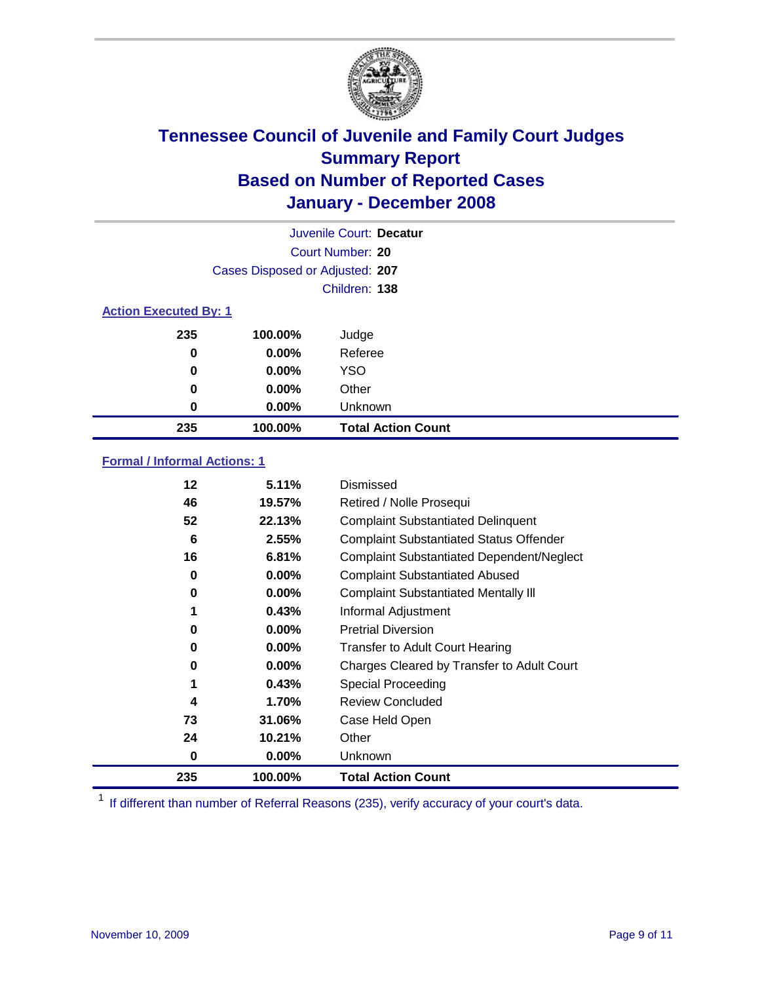

| Juvenile Court: Decatur      |                                 |                           |  |  |  |
|------------------------------|---------------------------------|---------------------------|--|--|--|
|                              | Court Number: 20                |                           |  |  |  |
|                              | Cases Disposed or Adjusted: 207 |                           |  |  |  |
|                              |                                 | Children: 138             |  |  |  |
| <b>Action Executed By: 1</b> |                                 |                           |  |  |  |
| 235                          | 100.00%                         | Judge                     |  |  |  |
| 0                            | $0.00\%$                        | Referee                   |  |  |  |
| 0                            | $0.00\%$                        | <b>YSO</b>                |  |  |  |
| 0                            | $0.00\%$                        | Other                     |  |  |  |
| 0                            | $0.00\%$                        | Unknown                   |  |  |  |
| 235                          | 100.00%                         | <b>Total Action Count</b> |  |  |  |

### **Formal / Informal Actions: 1**

| 12  | 5.11%    | <b>Dismissed</b>                                 |
|-----|----------|--------------------------------------------------|
| 46  | 19.57%   | Retired / Nolle Prosequi                         |
| 52  | 22.13%   | <b>Complaint Substantiated Delinquent</b>        |
| 6   | 2.55%    | <b>Complaint Substantiated Status Offender</b>   |
| 16  | 6.81%    | <b>Complaint Substantiated Dependent/Neglect</b> |
| 0   | 0.00%    | <b>Complaint Substantiated Abused</b>            |
| 0   | 0.00%    | <b>Complaint Substantiated Mentally III</b>      |
| 1   | 0.43%    | Informal Adjustment                              |
| 0   | $0.00\%$ | <b>Pretrial Diversion</b>                        |
| 0   | 0.00%    | <b>Transfer to Adult Court Hearing</b>           |
| 0   | $0.00\%$ | Charges Cleared by Transfer to Adult Court       |
| 1   | 0.43%    | Special Proceeding                               |
| 4   | 1.70%    | <b>Review Concluded</b>                          |
| 73  | 31.06%   | Case Held Open                                   |
| 24  | 10.21%   | Other                                            |
| 0   | 0.00%    | <b>Unknown</b>                                   |
| 235 | 100.00%  | <b>Total Action Count</b>                        |

<sup>1</sup> If different than number of Referral Reasons (235), verify accuracy of your court's data.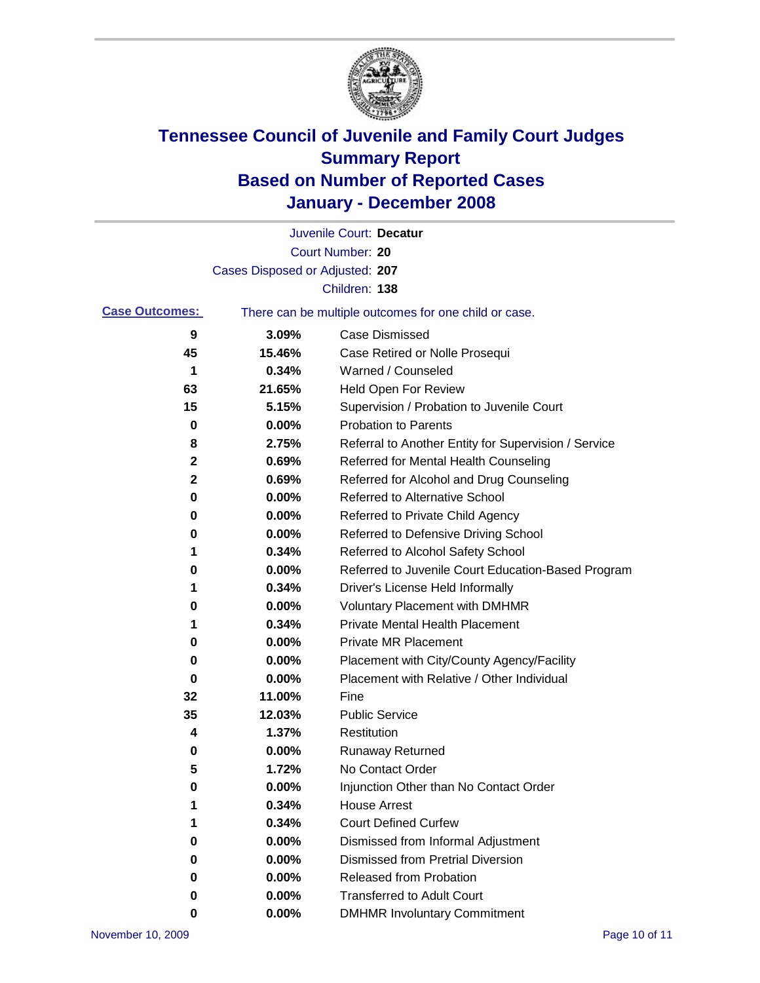

|                                                                                |                                 | Juvenile Court: Decatur                              |
|--------------------------------------------------------------------------------|---------------------------------|------------------------------------------------------|
|                                                                                |                                 | Court Number: 20                                     |
|                                                                                | Cases Disposed or Adjusted: 207 |                                                      |
|                                                                                |                                 | Children: 138                                        |
| <b>Case Outcomes:</b><br>There can be multiple outcomes for one child or case. |                                 |                                                      |
| 9                                                                              | 3.09%                           | <b>Case Dismissed</b>                                |
| 45                                                                             | 15.46%                          | Case Retired or Nolle Prosequi                       |
| 1                                                                              | 0.34%                           | Warned / Counseled                                   |
| 63                                                                             | 21.65%                          | Held Open For Review                                 |
| 15                                                                             | 5.15%                           | Supervision / Probation to Juvenile Court            |
| 0                                                                              | 0.00%                           | <b>Probation to Parents</b>                          |
| 8                                                                              | 2.75%                           | Referral to Another Entity for Supervision / Service |
| 2                                                                              | 0.69%                           | Referred for Mental Health Counseling                |
| 2                                                                              | 0.69%                           | Referred for Alcohol and Drug Counseling             |
| 0                                                                              | 0.00%                           | <b>Referred to Alternative School</b>                |
| 0                                                                              | 0.00%                           | Referred to Private Child Agency                     |
| 0                                                                              | 0.00%                           | Referred to Defensive Driving School                 |
| 1                                                                              | 0.34%                           | Referred to Alcohol Safety School                    |
| 0                                                                              | 0.00%                           | Referred to Juvenile Court Education-Based Program   |
| 1                                                                              | 0.34%                           | Driver's License Held Informally                     |
| 0                                                                              | 0.00%                           | <b>Voluntary Placement with DMHMR</b>                |
| 1                                                                              | 0.34%                           | <b>Private Mental Health Placement</b>               |
| 0                                                                              | 0.00%                           | <b>Private MR Placement</b>                          |
| 0                                                                              | 0.00%                           | Placement with City/County Agency/Facility           |
| 0                                                                              | 0.00%                           | Placement with Relative / Other Individual           |
| 32                                                                             | 11.00%                          | Fine                                                 |
| 35                                                                             | 12.03%                          | <b>Public Service</b>                                |
| 4                                                                              | 1.37%                           | Restitution                                          |
| 0                                                                              | 0.00%                           | <b>Runaway Returned</b>                              |
| 5                                                                              | 1.72%                           | No Contact Order                                     |
| 0                                                                              | 0.00%                           | Injunction Other than No Contact Order               |
| 1                                                                              | 0.34%                           | <b>House Arrest</b>                                  |
| 1                                                                              | 0.34%                           | <b>Court Defined Curfew</b>                          |
| 0                                                                              | 0.00%                           | Dismissed from Informal Adjustment                   |
| 0                                                                              | 0.00%                           | <b>Dismissed from Pretrial Diversion</b>             |
| 0                                                                              | 0.00%                           | <b>Released from Probation</b>                       |
| 0                                                                              | 0.00%                           | <b>Transferred to Adult Court</b>                    |
| 0                                                                              | 0.00%                           | <b>DMHMR Involuntary Commitment</b>                  |